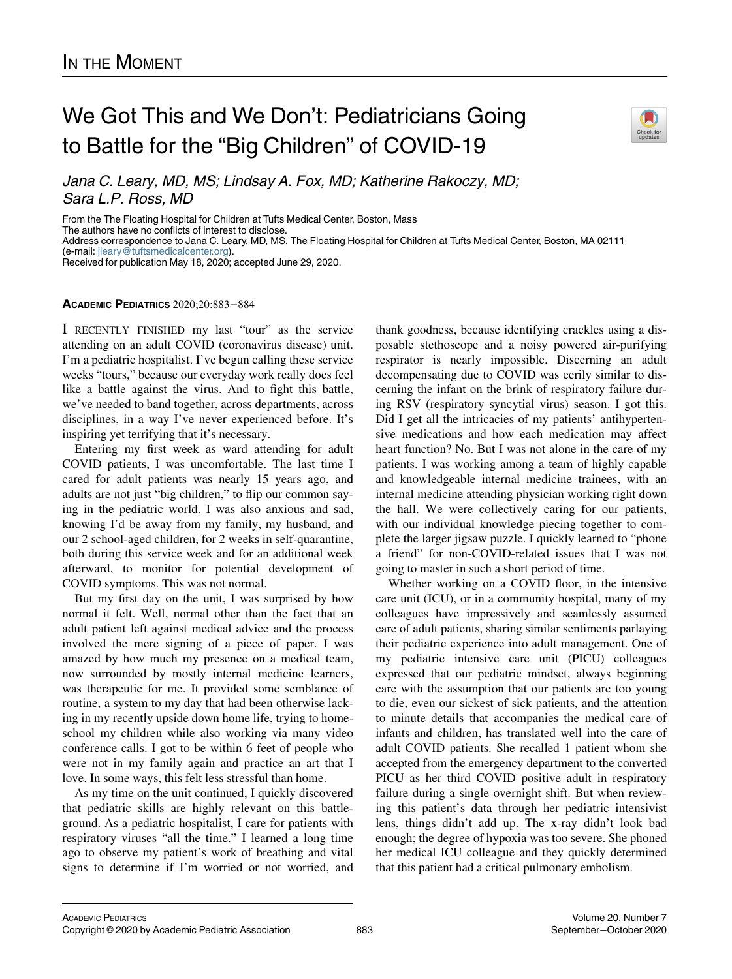## We Got This and We Don't: Pediatricians Going to Battle for the "Big Children" of COVID-19



Jana C. Leary, MD, MS; Lindsay A. Fox, MD; Katherine Rakoczy, MD; Sara L.P. Ross, MD

From the The Floating Hospital for Children at Tufts Medical Center, Boston, Mass

The authors have no conflicts of interest to disclose.

Address correspondence to Jana C. Leary, MD, MS, The Floating Hospital for Children at Tufts Medical Center, Boston, MA 02111 (e-mail: [jleary@tuftsmedicalcenter.org\)](mailto:jleary@tuftsmedicalcenter.org).

Received for publication May 18, 2020; accepted June 29, 2020.

## ACADEMIC PEDIATRICS 2020;20:883−884

I RECENTLY FINISHED my last "tour" as the service attending on an adult COVID (coronavirus disease) unit. I'm a pediatric hospitalist. I've begun calling these service weeks "tours," because our everyday work really does feel like a battle against the virus. And to fight this battle, we've needed to band together, across departments, across disciplines, in a way I've never experienced before. It's inspiring yet terrifying that it's necessary.

Entering my first week as ward attending for adult COVID patients, I was uncomfortable. The last time I cared for adult patients was nearly 15 years ago, and adults are not just "big children," to flip our common saying in the pediatric world. I was also anxious and sad, knowing I'd be away from my family, my husband, and our 2 school-aged children, for 2 weeks in self-quarantine, both during this service week and for an additional week afterward, to monitor for potential development of COVID symptoms. This was not normal.

But my first day on the unit, I was surprised by how normal it felt. Well, normal other than the fact that an adult patient left against medical advice and the process involved the mere signing of a piece of paper. I was amazed by how much my presence on a medical team, now surrounded by mostly internal medicine learners, was therapeutic for me. It provided some semblance of routine, a system to my day that had been otherwise lacking in my recently upside down home life, trying to homeschool my children while also working via many video conference calls. I got to be within 6 feet of people who were not in my family again and practice an art that I love. In some ways, this felt less stressful than home.

As my time on the unit continued, I quickly discovered that pediatric skills are highly relevant on this battleground. As a pediatric hospitalist, I care for patients with respiratory viruses "all the time." I learned a long time ago to observe my patient's work of breathing and vital signs to determine if I'm worried or not worried, and thank goodness, because identifying crackles using a disposable stethoscope and a noisy powered air-purifying respirator is nearly impossible. Discerning an adult decompensating due to COVID was eerily similar to discerning the infant on the brink of respiratory failure during RSV (respiratory syncytial virus) season. I got this. Did I get all the intricacies of my patients' antihypertensive medications and how each medication may affect heart function? No. But I was not alone in the care of my patients. I was working among a team of highly capable and knowledgeable internal medicine trainees, with an internal medicine attending physician working right down the hall. We were collectively caring for our patients, with our individual knowledge piecing together to complete the larger jigsaw puzzle. I quickly learned to "phone a friend" for non-COVID-related issues that I was not going to master in such a short period of time.

Whether working on a COVID floor, in the intensive care unit (ICU), or in a community hospital, many of my colleagues have impressively and seamlessly assumed care of adult patients, sharing similar sentiments parlaying their pediatric experience into adult management. One of my pediatric intensive care unit (PICU) colleagues expressed that our pediatric mindset, always beginning care with the assumption that our patients are too young to die, even our sickest of sick patients, and the attention to minute details that accompanies the medical care of infants and children, has translated well into the care of adult COVID patients. She recalled 1 patient whom she accepted from the emergency department to the converted PICU as her third COVID positive adult in respiratory failure during a single overnight shift. But when reviewing this patient's data through her pediatric intensivist lens, things didn't add up. The x-ray didn't look bad enough; the degree of hypoxia was too severe. She phoned her medical ICU colleague and they quickly determined that this patient had a critical pulmonary embolism.